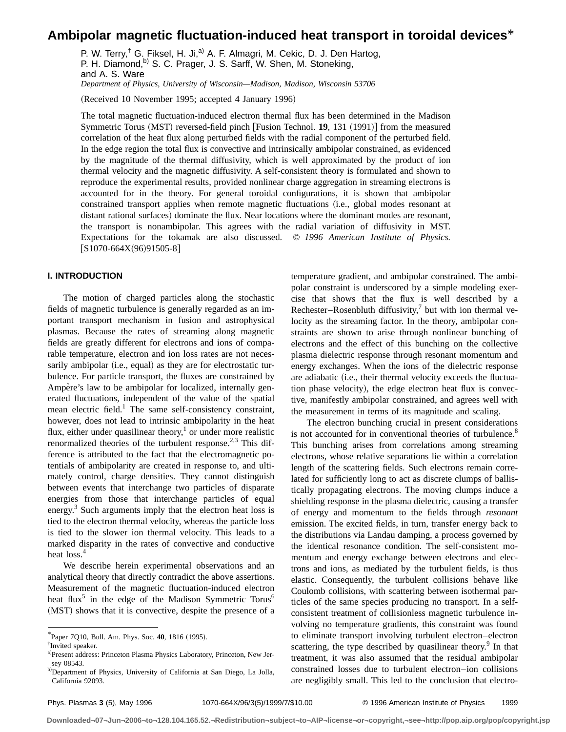# **Ambipolar magnetic fluctuation-induced heat transport in toroidal devices**\*

P. W. Terry,<sup>†</sup> G. Fiksel, H. Ji,<sup>a)</sup> A. F. Almagri, M. Cekic, D. J. Den Hartog, P. H. Diamond,<sup>b)</sup> S. C. Prager, J. S. Sarff, W. Shen, M. Stoneking, and A. S. Ware *Department of Physics, University of Wisconsin—Madison, Madison, Wisconsin 53706*

(Received 10 November 1995; accepted 4 January 1996)

The total magnetic fluctuation-induced electron thermal flux has been determined in the Madison Symmetric Torus (MST) reversed-field pinch [Fusion Technol. **19**, 131 (1991)] from the measured correlation of the heat flux along perturbed fields with the radial component of the perturbed field. In the edge region the total flux is convective and intrinsically ambipolar constrained, as evidenced by the magnitude of the thermal diffusivity, which is well approximated by the product of ion thermal velocity and the magnetic diffusivity. A self-consistent theory is formulated and shown to reproduce the experimental results, provided nonlinear charge aggregation in streaming electrons is accounted for in the theory. For general toroidal configurations, it is shown that ambipolar constrained transport applies when remote magnetic fluctuations (i.e., global modes resonant at distant rational surfaces) dominate the flux. Near locations where the dominant modes are resonant, the transport is nonambipolar. This agrees with the radial variation of diffusivity in MST. Expectations for the tokamak are also discussed. © *1996 American Institute of Physics.*  $[S1070-664X(96)91505-8]$ 

### **I. INTRODUCTION**

The motion of charged particles along the stochastic fields of magnetic turbulence is generally regarded as an important transport mechanism in fusion and astrophysical plasmas. Because the rates of streaming along magnetic fields are greatly different for electrons and ions of comparable temperature, electron and ion loss rates are not necessarily ambipolar (i.e., equal) as they are for electrostatic turbulence. For particle transport, the fluxes are constrained by Ampère's law to be ambipolar for localized, internally generated fluctuations, independent of the value of the spatial mean electric field.<sup>1</sup> The same self-consistency constraint, however, does not lead to intrinsic ambipolarity in the heat flux, either under quasilinear theory, $\frac{1}{1}$  or under more realistic renormalized theories of the turbulent response.<sup>2,3</sup> This difference is attributed to the fact that the electromagnetic potentials of ambipolarity are created in response to, and ultimately control, charge densities. They cannot distinguish between events that interchange two particles of disparate energies from those that interchange particles of equal energy.<sup>3</sup> Such arguments imply that the electron heat loss is tied to the electron thermal velocity, whereas the particle loss is tied to the slower ion thermal velocity. This leads to a marked disparity in the rates of convective and conductive heat loss.<sup>4</sup>

We describe herein experimental observations and an analytical theory that directly contradict the above assertions. Measurement of the magnetic fluctuation-induced electron heat flux<sup>5</sup> in the edge of the Madison Symmetric Torus<sup>6</sup> (MST) shows that it is convective, despite the presence of a

temperature gradient, and ambipolar constrained. The ambipolar constraint is underscored by a simple modeling exercise that shows that the flux is well described by a Rechester–Rosenbluth diffusivity, $\lambda$  but with ion thermal velocity as the streaming factor. In the theory, ambipolar constraints are shown to arise through nonlinear bunching of electrons and the effect of this bunching on the collective plasma dielectric response through resonant momentum and energy exchanges. When the ions of the dielectric response are adiabatic (*i.e.*, their thermal velocity exceeds the fluctuation phase velocity), the edge electron heat flux is convective, manifestly ambipolar constrained, and agrees well with the measurement in terms of its magnitude and scaling.

The electron bunching crucial in present considerations is not accounted for in conventional theories of turbulence.<sup>8</sup> This bunching arises from correlations among streaming electrons, whose relative separations lie within a correlation length of the scattering fields. Such electrons remain correlated for sufficiently long to act as discrete clumps of ballistically propagating electrons. The moving clumps induce a shielding response in the plasma dielectric, causing a transfer of energy and momentum to the fields through *resonant* emission. The excited fields, in turn, transfer energy back to the distributions via Landau damping, a process governed by the identical resonance condition. The self-consistent momentum and energy exchange between electrons and electrons and ions, as mediated by the turbulent fields, is thus elastic. Consequently, the turbulent collisions behave like Coulomb collisions, with scattering between isothermal particles of the same species producing no transport. In a selfconsistent treatment of collisionless magnetic turbulence involving no temperature gradients, this constraint was found to eliminate transport involving turbulent electron–electron scattering, the type described by quasilinear theory. $9 \text{ In that}$ treatment, it was also assumed that the residual ambipolar constrained losses due to turbulent electron–ion collisions are negligibly small. This led to the conclusion that electro-

**Downloaded¬07¬Jun¬2006¬to¬128.104.165.52.¬Redistribution¬subject¬to¬AIP¬license¬or¬copyright,¬see¬http://pop.aip.org/pop/copyright.jsp**

 $*$ Paper 7010, Bull. Am. Phys. Soc. 40, 1816 (1995).

<sup>†</sup> Invited speaker.

a)Present address: Princeton Plasma Physics Laboratory, Princeton, New Jersey 08543.

b)Department of Physics, University of California at San Diego, La Jolla, California 92093.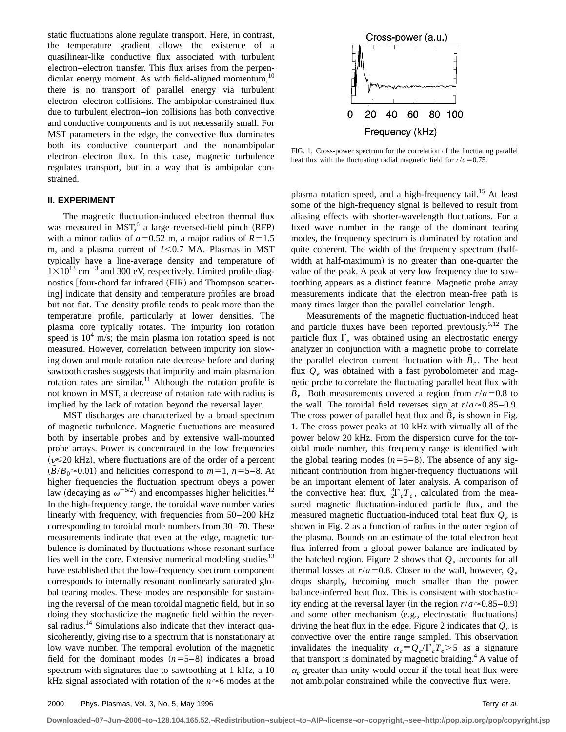static fluctuations alone regulate transport. Here, in contrast, the temperature gradient allows the existence of a quasilinear-like conductive flux associated with turbulent electron–electron transfer. This flux arises from the perpendicular energy moment. As with field-aligned momentum, $10$ there is no transport of parallel energy via turbulent electron–electron collisions. The ambipolar-constrained flux due to turbulent electron–ion collisions has both convective and conductive components and is not necessarily small. For MST parameters in the edge, the convective flux dominates both its conductive counterpart and the nonambipolar electron–electron flux. In this case, magnetic turbulence regulates transport, but in a way that is ambipolar constrained.

#### **II. EXPERIMENT**

The magnetic fluctuation-induced electron thermal flux was measured in MST, $<sup>6</sup>$  a large reversed-field pinch (RFP)</sup> with a minor radius of  $a=0.52$  m, a major radius of  $R=1.5$ m, and a plasma current of *I*<0.7 MA. Plasmas in MST typically have a line-average density and temperature of  $1\times10^{13}$  cm<sup>-3</sup> and 300 eV, respectively. Limited profile diagnostics [four-chord far infrared (FIR) and Thompson scattering] indicate that density and temperature profiles are broad but not flat. The density profile tends to peak more than the temperature profile, particularly at lower densities. The plasma core typically rotates. The impurity ion rotation speed is  $10<sup>4</sup>$  m/s; the main plasma ion rotation speed is not measured. However, correlation between impurity ion slowing down and mode rotation rate decrease before and during sawtooth crashes suggests that impurity and main plasma ion rotation rates are similar.<sup>11</sup> Although the rotation profile is not known in MST, a decrease of rotation rate with radius is implied by the lack of rotation beyond the reversal layer.

MST discharges are characterized by a broad spectrum of magnetic turbulence. Magnetic fluctuations are measured both by insertable probes and by extensive wall-mounted probe arrays. Power is concentrated in the low frequencies  $(v \le 20 \text{ kHz})$ , where fluctuations are of the order of a percent  $(B/B_0 \approx 0.01)$  and helicities correspond to  $m=1$ ,  $n=5-8$ . At higher frequencies the fluctuation spectrum obeys a power law (decaying as  $\omega^{-5/2}$ ) and encompasses higher helicities.<sup>12</sup> In the high-frequency range, the toroidal wave number varies linearly with frequency, with frequencies from 50–200 kHz corresponding to toroidal mode numbers from 30–70. These measurements indicate that even at the edge, magnetic turbulence is dominated by fluctuations whose resonant surface lies well in the core. Extensive numerical modeling studies $13$ have established that the low-frequency spectrum component corresponds to internally resonant nonlinearly saturated global tearing modes. These modes are responsible for sustaining the reversal of the mean toroidal magnetic field, but in so doing they stochasticize the magnetic field within the reversal radius.<sup>14</sup> Simulations also indicate that they interact quasicoherently, giving rise to a spectrum that is nonstationary at low wave number. The temporal evolution of the magnetic field for the dominant modes  $(n=5-8)$  indicates a broad spectrum with signatures due to sawtoothing at 1 kHz, a 10 kHz signal associated with rotation of the  $n \approx 6$  modes at the



FIG. 1. Cross-power spectrum for the correlation of the fluctuating parallel heat flux with the fluctuating radial magnetic field for  $r/a = 0.75$ .

plasma rotation speed, and a high-frequency tail.<sup>15</sup> At least some of the high-frequency signal is believed to result from aliasing effects with shorter-wavelength fluctuations. For a fixed wave number in the range of the dominant tearing modes, the frequency spectrum is dominated by rotation and quite coherent. The width of the frequency spectrum (halfwidth at half-maximum) is no greater than one-quarter the value of the peak. A peak at very low frequency due to sawtoothing appears as a distinct feature. Magnetic probe array measurements indicate that the electron mean-free path is many times larger than the parallel correlation length.

Measurements of the magnetic fluctuation-induced heat and particle fluxes have been reported previously.5,12 The particle flux  $\Gamma_e$  was obtained using an electrostatic energy analyzer in conjunction with a magnetic probe to correlate the parallel electron current fluctuation with  $B_r$ . The heat flux  $Q_e$  was obtained with a fast pyrobolometer and magnetic probe to correlate the fluctuating parallel heat flux with  $B_r$ . Both measurements covered a region from  $r/a = 0.8$  to the wall. The toroidal field reverses sign at  $r/a \approx 0.85-0.9$ . The cross power of parallel heat flux and  $B_r$  is shown in Fig. 1. The cross power peaks at 10 kHz with virtually all of the power below 20 kHz. From the dispersion curve for the toroidal mode number, this frequency range is identified with the global tearing modes  $(n=5-8)$ . The absence of any significant contribution from higher-frequency fluctuations will be an important element of later analysis. A comparison of the convective heat flux,  $\frac{3}{2}\Gamma_e T_e$ , calculated from the measured magnetic fluctuation-induced particle flux, and the measured magnetic fluctuation-induced total heat flux  $Q_e$  is shown in Fig. 2 as a function of radius in the outer region of the plasma. Bounds on an estimate of the total electron heat flux inferred from a global power balance are indicated by the hatched region. Figure 2 shows that  $Q_e$  accounts for all thermal losses at  $r/a = 0.8$ . Closer to the wall, however,  $Q_e$ drops sharply, becoming much smaller than the power balance-inferred heat flux. This is consistent with stochasticity ending at the reversal layer (in the region  $r/a \approx 0.85-0.9$ ) and some other mechanism (e.g., electrostatic fluctuations) driving the heat flux in the edge. Figure 2 indicates that  $Q_e$  is convective over the entire range sampled. This observation invalidates the inequality  $\alpha_e \equiv Q_e/\Gamma_e T_e > 5$  as a signature that transport is dominated by magnetic braiding.<sup>4</sup> A value of  $\alpha_e$  greater than unity would occur if the total heat flux were not ambipolar constrained while the convective flux were.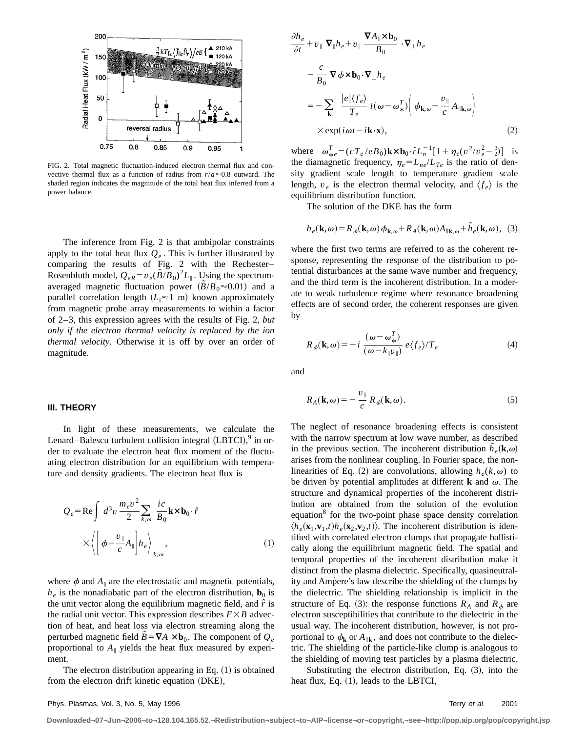

FIG. 2. Total magnetic fluctuation-induced electron thermal flux and convective thermal flux as a function of radius from  $r/a \approx 0.8$  outward. The shaded region indicates the magnitude of the total heat flux inferred from a power balance.

The inference from Fig. 2 is that ambipolar constraints apply to the total heat flux  $Q_e$ . This is further illustrated by comparing the results of Fig. 2 with the Rechester– Rosenbluth model,  $Q_{eR} = v_e(\tilde{B}/B_0)^2 L_{\parallel}$ . Using the spectrumaveraged magnetic fluctuation power  $(B/B_0 \approx 0.01)$  and a parallel correlation length  $(L_{\parallel} \approx 1 \text{ m})$  known approximately from magnetic probe array measurements to within a factor of 2–3, this expression agrees with the results of Fig. 2, *but only if the electron thermal velocity is replaced by the ion thermal velocity*. Otherwise it is off by over an order of magnitude.

#### **III. THEORY**

In light of these measurements, we calculate the Lenard–Balescu turbulent collision integral  $(LBTCI)$ ,  $9$  in order to evaluate the electron heat flux moment of the fluctuating electron distribution for an equilibrium with temperature and density gradients. The electron heat flux is

$$
Q_e = \text{Re} \int d^3 v \frac{m_e v^2}{2} \sum_{k,\omega} \frac{ic}{B_0} \mathbf{k} \times \mathbf{b}_0 \cdot \hat{r}
$$

$$
\times \left\langle \left[ \phi - \frac{v_{\parallel}}{c} A_{\parallel} \right] h_e \right\rangle_{k,\omega}, \tag{1}
$$

where  $\phi$  and  $A_{\parallel}$  are the electrostatic and magnetic potentials,  $h_e$  is the nonadiabatic part of the electron distribution,  $\mathbf{b}_0$  is the unit vector along the equilibrium magnetic field, and  $\hat{r}$  is the radial unit vector. This expression describes  $E \times B$  advection of heat, and heat loss via electron streaming along the perturbed magnetic field  $B = \nabla A_{\parallel} \times \mathbf{b}_0$ . The component of  $Q_e$ proportional to  $A_{\parallel}$  yields the heat flux measured by experiment.

The electron distribution appearing in Eq.  $(1)$  is obtained from the electron drift kinetic equation (DKE),

$$
\frac{\partial h_e}{\partial t} + v_{\parallel} \nabla_{\parallel} h_e + v_{\parallel} \frac{\nabla A_{\parallel} \times \mathbf{b}_0}{B_0} \cdot \nabla_{\perp} h_e
$$
\n
$$
- \frac{c}{B_0} \nabla \phi \times \mathbf{b}_0 \cdot \nabla_{\perp} h_e
$$
\n
$$
= - \sum_{\mathbf{k}} \frac{|e| \langle f_e \rangle}{T_e} i(\omega - \omega_{\ast}^T) \left( \phi_{\mathbf{k}, \omega} - \frac{v_{\parallel}}{c} A_{\parallel \mathbf{k}, \omega} \right)
$$
\n
$$
\times \exp(i \omega t - i \mathbf{k} \cdot \mathbf{x}), \qquad (2)
$$

where  $\omega_{\pi}^T = (cT_e/eB_0)\mathbf{k} \times \mathbf{b}_0 \cdot \hat{r}L_0^{-1} [1 + \eta_e(v^2/v_e^2 - \frac{3}{2})]$  is<br>the diamentic fractional  $\mathbf{a} = L_0/I$  is the ratio of dapthe diamagnetic frequency,  $\eta_e = L_{ne}/L_{Te}$  is the ratio of density gradient scale length to temperature gradient scale length,  $v_e$  is the electron thermal velocity, and  $\langle f_e \rangle$  is the equilibrium distribution function.

The solution of the DKE has the form

$$
h_e(\mathbf{k}, \omega) = R_{\phi}(\mathbf{k}, \omega) \phi_{\mathbf{k}, \omega} + R_A(\mathbf{k}, \omega) A_{\parallel \mathbf{k}, \omega} + \tilde{h}_e(\mathbf{k}, \omega), \tag{3}
$$

where the first two terms are referred to as the coherent response, representing the response of the distribution to potential disturbances at the same wave number and frequency, and the third term is the incoherent distribution. In a moderate to weak turbulence regime where resonance broadening effects are of second order, the coherent responses are given by

$$
R_{\phi}(\mathbf{k}, \omega) = -i \frac{(\omega - \omega_{*}^{T})}{(\omega - k_{\parallel} \nu_{\parallel})} e \langle f_{e} \rangle / T_{e}
$$
 (4)

and

$$
R_A(\mathbf{k}, \omega) = -\frac{v_{\parallel}}{c} R_{\phi}(\mathbf{k}, \omega). \tag{5}
$$

The neglect of resonance broadening effects is consistent with the narrow spectrum at low wave number, as described in the previous section. The incoherent distribution  $\tilde{h}_e(\mathbf{k}, \omega)$ arises from the nonlinear coupling. In Fourier space, the nonlinearities of Eq. (2) are convolutions, allowing  $h_e(k,\omega)$  to be driven by potential amplitudes at different **k** and  $\omega$ . The structure and dynamical properties of the incoherent distribution are obtained from the solution of the evolution equation<sup>8</sup> for the two-point phase space density correlation  $\langle h_e({\bf x}_1, {\bf v}_1, t)h_e({\bf x}_2, {\bf v}_2, t)\rangle$ . The incoherent distribution is identified with correlated electron clumps that propagate ballistically along the equilibrium magnetic field. The spatial and temporal properties of the incoherent distribution make it distinct from the plasma dielectric. Specifically, quasineutrality and Ampere's law describe the shielding of the clumps by the dielectric. The shielding relationship is implicit in the structure of Eq. (3): the response functions  $R_A$  and  $R_{\phi}$  are electron susceptibilities that contribute to the dielectric in the usual way. The incoherent distribution, however, is not proportional to  $\phi_k$  or  $A_{\parallel k}$ , and does not contribute to the dielectric. The shielding of the particle-like clump is analogous to the shielding of moving test particles by a plasma dielectric.

Substituting the electron distribution, Eq.  $(3)$ , into the heat flux, Eq.  $(1)$ , leads to the LBTCI,

**Downloaded¬07¬Jun¬2006¬to¬128.104.165.52.¬Redistribution¬subject¬to¬AIP¬license¬or¬copyright,¬see¬http://pop.aip.org/pop/copyright.jsp**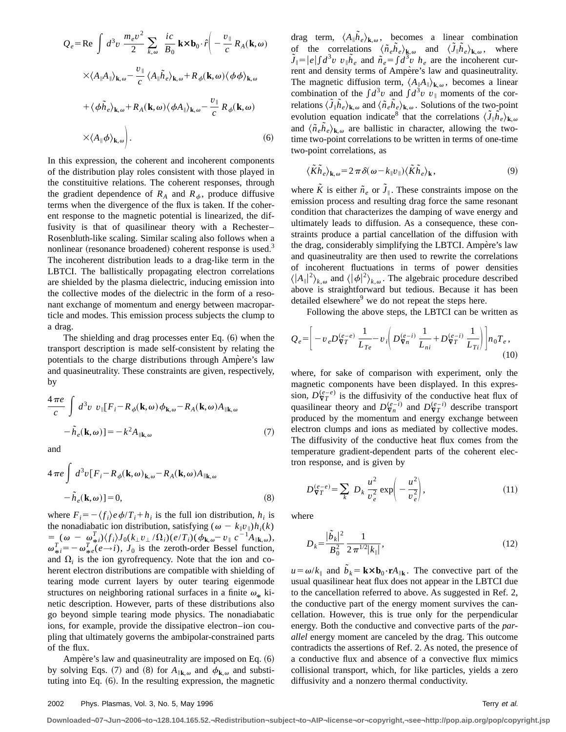$$
Q_e = \text{Re} \int d^3 v \frac{m_e v^2}{2} \sum_{k,\omega} \frac{ic}{B_0} \mathbf{k} \times \mathbf{b}_0 \cdot \hat{r} \left( -\frac{v_{\parallel}}{c} R_A(\mathbf{k}, \omega) \times \langle A_{\parallel} A_{\parallel} \rangle_{\mathbf{k}, \omega} - \frac{v_{\parallel}}{c} \langle A_{\parallel} \tilde{h}_e \rangle_{\mathbf{k}, \omega} + R_{\phi}(\mathbf{k}, \omega) \langle \phi \phi \rangle_{\mathbf{k}, \omega} + \langle \phi \tilde{h}_e \rangle_{\mathbf{k}, \omega} + R_A(\mathbf{k}, \omega) \langle \phi A_{\parallel} \rangle_{\mathbf{k}, \omega} - \frac{v_{\parallel}}{c} R_{\phi}(\mathbf{k}, \omega) \times \langle A_{\parallel} \phi \rangle_{\mathbf{k}, \omega} \right). \tag{6}
$$

In this expression, the coherent and incoherent components of the distribution play roles consistent with those played in the constituitive relations. The coherent responses, through the gradient dependence of  $R_A$  and  $R_{\phi}$ , produce diffusive terms when the divergence of the flux is taken. If the coherent response to the magnetic potential is linearized, the diffusivity is that of quasilinear theory with a Rechester– Rosenbluth-like scaling. Similar scaling also follows when a nonlinear (resonance broadened) coherent response is used.<sup>3</sup> The incoherent distribution leads to a drag-like term in the LBTCI. The ballistically propagating electron correlations are shielded by the plasma dielectric, inducing emission into the collective modes of the dielectric in the form of a resonant exchange of momentum and energy between macroparticle and modes. This emission process subjects the clump to a drag.

The shielding and drag processes enter Eq.  $(6)$  when the transport description is made self-consistent by relating the potentials to the charge distributions through Ampere's law and quasineutrality. These constraints are given, respectively, by

$$
\frac{4\pi e}{c} \int d^3 v \ v_{\parallel} [F_i - R_{\phi}(\mathbf{k}, \omega) \phi_{\mathbf{k}, \omega} - R_A(\mathbf{k}, \omega) A_{\parallel \mathbf{k}, \omega} \n- \tilde{h}_e(\mathbf{k}, \omega) ] = -k^2 A_{\parallel \mathbf{k}, \omega}
$$
\n(7)

and

$$
4 \pi e \int d^3 v [F_i - R_\phi(\mathbf{k}, \omega)_{\mathbf{k}, \omega} - R_A(\mathbf{k}, \omega) A_{\parallel \mathbf{k}, \omega} - \tilde{h}_e(\mathbf{k}, \omega) ] = 0,
$$
\n(8)

where  $F_i = -\langle f_i \rangle e \phi / T_i + h_i$  is the full ion distribution,  $h_i$  is the nonadiabatic ion distribution, satisfying ( $\omega - k_{\parallel}v_{\parallel}$ ) $h_i(k)$  $= (\omega - \omega_{\pi}^T)/\langle f_i \rangle J_0(k_{\perp}v_{\perp}/\Omega_i)(e/T_i)(\phi_{\mathbf{k},\omega}^v - v_{\parallel}^v e^{-1}A_{\parallel \mathbf{k},\omega}),$  $\omega_{\pi i}^T = -\omega_{\pi e}^T (e \rightarrow i)$ ,  $J_0$  is the zeroth-order Bessel function, and  $\Omega_i$  is the ion gyrofrequency. Note that the ion and coherent electron distributions are compatible with shielding of tearing mode current layers by outer tearing eigenmode structures on neighboring rational surfaces in a finite  $\omega_*$  kinetic description. However, parts of these distributions also go beyond simple tearing mode physics. The nonadiabatic ions, for example, provide the dissipative electron–ion coupling that ultimately governs the ambipolar-constrained parts of the flux.

Ampere's law and quasineutrality are imposed on Eq.  $(6)$ by solving Eqs. (7) and (8) for  $A_{\parallel \mathbf{k},\omega}$  and  $\phi_{\mathbf{k},\omega}$  and substituting into Eq.  $(6)$ . In the resulting expression, the magnetic

drag term,  $\langle A_{\parallel} \tilde{h}_e \rangle_{\mathbf{k},\omega}$ , becomes a linear combination of the correlations  $\langle \tilde{n}_e \tilde{h}_e \rangle_{\mathbf{k},\omega}$  and  $\langle \tilde{J}_{\parallel} \tilde{h}_e \rangle_{\mathbf{k},\omega}$ , where  $\tilde{J}_{\parallel} = |e| \int d^3v \ v_{\parallel} \tilde{h}_e$  and  $\tilde{n}_e = \int d^3v \ h_e$  are the incoherent current and density terms of Ampère's law and quasineutrality. The magnetic diffusion term,  $\langle A_{\parallel}A_{\parallel}\rangle_{\mathbf{k},\omega}$ , becomes a linear combination of the  $\int d^3v$  and  $\int d^3v$   $v_{\parallel}$  moments of the correlations  $\langle \tilde{J}_{\parallel} \tilde{h}_e \rangle_{\mathbf{k},\omega}$  and  $\langle \tilde{n}_e \tilde{h}_e \rangle_{\mathbf{k},\omega}$ . Solutions of the two-point evolution equation indicate<sup>8</sup> that the correlations  $\langle \tilde{J}_{\parallel} \tilde{h}_{e} \rangle_{\mathbf{k},\omega}$ and  $\langle \tilde{n}_e \tilde{h}_e \rangle_{\mathbf{k},\omega}$  are ballistic in character, allowing the twotime two-point correlations to be written in terms of one-time two-point correlations, as

$$
\langle \tilde{K}\tilde{h}_e \rangle_{\mathbf{k},\omega} = 2 \pi \delta(\omega - k_{\parallel} v_{\parallel}) \langle \tilde{K}\tilde{h}_e \rangle_{\mathbf{k}},
$$
\n(9)

where  $\tilde{K}$  is either  $\tilde{n}_e$  or  $\tilde{J}_{\parallel}$ . These constraints impose on the emission process and resulting drag force the same resonant condition that characterizes the damping of wave energy and ultimately leads to diffusion. As a consequence, these constraints produce a partial cancellation of the diffusion with the drag, considerably simplifying the LBTCI. Ampère's law and quasineutrality are then used to rewrite the correlations of incoherent fluctuations in terms of power densities  $\langle |A_{\parallel}|^2 \rangle_{k,\omega}$  and  $\langle |\phi|^2 \rangle_{k,\omega}$ . The algebraic procedure described above is straightforward but tedious. Because it has been detailed elsewhere<sup>9</sup> we do not repeat the steps here.

Following the above steps, the LBTCI can be written as

$$
Q_e = \left[ -v_e D_{\nabla T}^{(e-e)} \frac{1}{L_{Te}} - v_i \left( D_{\nabla n}^{(e-i)} \frac{1}{L_{ni}} + D_{\nabla T}^{(e-i)} \frac{1}{L_{Ti}} \right) \right] n_0 T_e ,
$$
\n(10)

where, for sake of comparison with experiment, only the magnetic components have been displayed. In this expression,  $D_{\nabla T}^{(e-e)}$  is the diffusivity of the conductive heat flux of quasilinear theory and  $D_{\nabla n}^{(e-i)}$  and  $D_{\nabla T}^{(e-i)}$  describe transport produced by the momentum and energy exchange between electron clumps and ions as mediated by collective modes. The diffusivity of the conductive heat flux comes from the temperature gradient-dependent parts of the coherent electron response, and is given by

$$
D_{\nabla T}^{(e-e)} = \sum_{k} D_k \frac{u^2}{v_e^2} \exp\left(-\frac{u^2}{v_e^2}\right),\tag{11}
$$

where

$$
D_k = \frac{|\tilde{b}_k|^2}{B_0^2} \frac{1}{2 \pi^{1/2} |k_{\parallel}|},\tag{12}
$$

 $u = \omega/k_{\parallel}$  and  $\tilde{b}_k = \mathbf{k} \times \mathbf{b}_0 \cdot \mathbf{r} A_{\parallel}$ . The convective part of the usual quasilinear heat flux does not appear in the LBTCI due to the cancellation referred to above. As suggested in Ref. 2, the conductive part of the energy moment survives the cancellation. However, this is true only for the perpendicular energy. Both the conductive and convective parts of the *parallel* energy moment are canceled by the drag. This outcome contradicts the assertions of Ref. 2. As noted, the presence of a conductive flux and absence of a convective flux mimics collisional transport, which, for like particles, yields a zero diffusivity and a nonzero thermal conductivity.

**Downloaded¬07¬Jun¬2006¬to¬128.104.165.52.¬Redistribution¬subject¬to¬AIP¬license¬or¬copyright,¬see¬http://pop.aip.org/pop/copyright.jsp**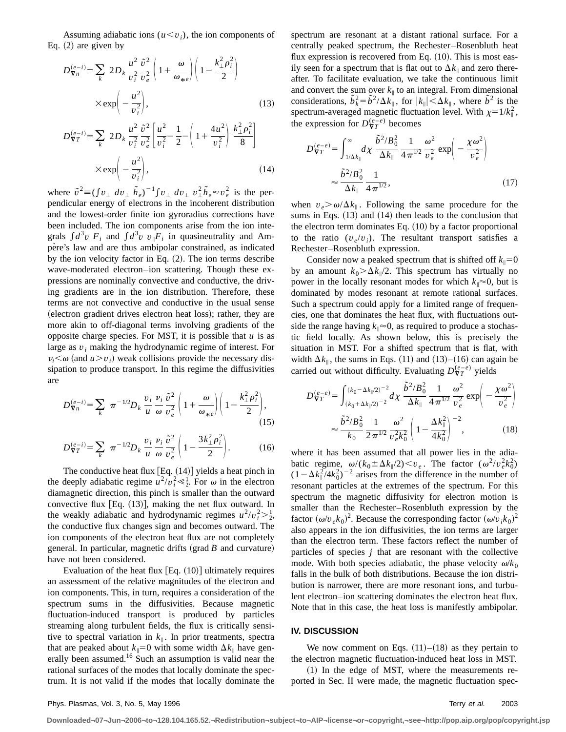Assuming adiabatic ions  $(u \le v_i)$ , the ion components of Eq.  $(2)$  are given by

$$
D_{\nabla n}^{(e-i)} = \sum_{k} 2D_k \frac{u^2}{v_i^2} \frac{\tilde{v}^2}{v_e^2} \left( 1 + \frac{\omega}{\omega_{\ast e}} \right) \left( 1 - \frac{k_{\perp}^2 \rho_i^2}{2} \right)
$$

$$
\times \exp\left(-\frac{u^2}{v_i^2}\right), \tag{13}
$$

$$
D_{\nabla T}^{(e-i)} = \sum_{k} 2D_{k} \frac{u^{2}}{v_{i}^{2}} \frac{\tilde{v}^{2}}{v_{e}^{2}} \left[ \frac{u^{2}}{v_{i}^{2}} - \frac{1}{2} - \left( 1 + \frac{4u^{2}}{v_{i}^{2}} \right) \frac{k_{\perp}^{2} \rho_{i}^{2}}{8} \right]
$$

$$
\times \exp\left(-\frac{u^{2}}{v_{i}^{2}}\right), \qquad (14)
$$

where  $\tilde{v}^2 \equiv (\int v_\perp dv_\perp \tilde{h}_e)^{-1} \int v_\perp dv_\perp v_\perp^2 \tilde{h}_e \approx v_e^2$  is the perpendicular energy of electrons in the incoherent distribution and the lowest-order finite ion gyroradius corrections have been included. The ion components arise from the ion integrals  $\int d^3v$   $F_i$  and  $\int d^3v$   $v_{\parallel}F_i$  in quasineutrality and Ampère's law and are thus ambipolar constrained, as indicated by the ion velocity factor in Eq.  $(2)$ . The ion terms describe wave-moderated electron–ion scattering. Though these expressions are nominally convective and conductive, the driving gradients are in the ion distribution. Therefore, these terms are not convective and conductive in the usual sense (electron gradient drives electron heat loss); rather, they are more akin to off-diagonal terms involving gradients of the opposite charge species. For MST, it is possible that *u* is as large as *v<sup>i</sup>* making the hydrodynamic regime of interest. For  $\nu_i \leq \omega$  (and  $u > v_i$ ) weak collisions provide the necessary dissipation to produce transport. In this regime the diffusivities are

$$
D_{\nabla n}^{(e-i)} = \sum_{k} \pi^{-1/2} D_k \frac{v_i}{u} \frac{\tilde{v}^2}{\omega} \frac{\tilde{v}^2}{v_e^2} \left( 1 + \frac{\omega}{\omega_{\ast e}} \right) \left( 1 - \frac{k_{\perp}^2 \rho_i^2}{2} \right),\tag{15}
$$

$$
D_{\nabla T}^{(e-i)} = \sum_{k} \pi^{-1/2} D_k \frac{v_i}{u} \frac{\dot{v}_i}{\omega} \frac{\tilde{v}^2}{v_e^2} \left( 1 - \frac{3k_\perp^2 \rho_i^2}{2} \right). \tag{16}
$$

The conductive heat flux  $[Eq. (14)]$  yields a heat pinch in the deeply adiabatic regime  $u^2/v_i^2 \ll \frac{1}{2}$ . For  $\omega$  in the electron diamagnetic direction, this pinch is smaller than the outward convective flux  $[Eq. (13)]$ , making the net flux outward. In the weakly adiabatic and hydrodynamic regimes  $u^2/v_i^2 > \frac{1}{2}$ , the conductive flux changes sign and becomes outward. The ion components of the electron heat flux are not completely general. In particular, magnetic drifts  $(\text{grad } B \text{ and curvature})$ have not been considered.

Evaluation of the heat flux  $[Eq. (10)]$  ultimately requires an assessment of the relative magnitudes of the electron and ion components. This, in turn, requires a consideration of the spectrum sums in the diffusivities. Because magnetic fluctuation-induced transport is produced by particles streaming along turbulent fields, the flux is critically sensitive to spectral variation in  $k_{\parallel}$ . In prior treatments, spectra that are peaked about  $k_{\parallel}=0$  with some width  $\Delta k_{\parallel}$  have generally been assumed.<sup>16</sup> Such an assumption is valid near the rational surfaces of the modes that locally dominate the spectrum. It is not valid if the modes that locally dominate the spectrum are resonant at a distant rational surface. For a centrally peaked spectrum, the Rechester–Rosenbluth heat flux expression is recovered from Eq.  $(10)$ . This is most easily seen for a spectrum that is flat out to  $\Delta k_{\parallel}$  and zero thereafter. To facilitate evaluation, we take the continuous limit and convert the sum over  $k_{\parallel}$  to an integral. From dimensional considerations,  $\tilde{b}_k^2 = \tilde{b}^2 / \Delta k_{\parallel}$ , for  $|k_{\parallel}| \leq \Delta k_{\parallel}$ , where  $\tilde{b}^2$  is the spectrum-averaged magnetic fluctuation level. With  $\chi=1/k_{\parallel}^2$ , the expression for  $D_{\nabla T}^{(e-e)}$  becomes

$$
D_{\nabla T}^{(e-e)} = \int_{1/\Delta k_{\parallel}}^{\infty} d\chi \frac{\tilde{b}^2 / B_0^2}{\Delta k_{\parallel}} \frac{1}{4 \pi^{1/2}} \frac{\omega^2}{v_e^2} \exp\left(-\frac{\chi \omega^2}{v_e^2}\right)
$$

$$
\approx \frac{\tilde{b}^2 / B_0^2}{\Delta k_{\parallel}} \frac{1}{4 \pi^{1/2}},
$$
(17)

when  $v_e > \omega/\Delta k_{\parallel}$ . Following the same procedure for the sums in Eqs.  $(13)$  and  $(14)$  then leads to the conclusion that the electron term dominates Eq.  $(10)$  by a factor proportional to the ratio  $(v_e/v_i)$ . The resultant transport satisfies a Rechester–Rosenbluth expression.

Consider now a peaked spectrum that is shifted off  $k_{\parallel}=0$ by an amount  $k_0$  $\geq$  $\Delta k_{\parallel}/2$ . This spectrum has virtually no power in the locally resonant modes for which  $k_{\parallel} \approx 0$ , but is dominated by modes resonant at remote rational surfaces. Such a spectrum could apply for a limited range of frequencies, one that dominates the heat flux, with fluctuations outside the range having  $k_{\parallel} \approx 0$ , as required to produce a stochastic field locally. As shown below, this is precisely the situation in MST. For a shifted spectrum that is flat, with width  $\Delta k_{\parallel}$ , the sums in Eqs. (11) and (13)–(16) can again be carried out without difficulty. Evaluating  $D_{\nabla T}^{(e-e)}$  yields

$$
D_{\nabla T}^{(e-e)} = \int_{(k_0 + \Delta k_{\parallel}/2)^{-2}}^{(k_0 - \Delta k_{\parallel}/2)^{-2}} d\chi \frac{\tilde{b}^2 / B_0^2}{\Delta k_{\parallel}} \frac{1}{4 \pi^{1/2}} \frac{\omega^2}{v_e^2} \exp\left(-\frac{\chi \omega^2}{v_e^2}\right)
$$

$$
\approx \frac{\tilde{b}^2 / B_0^2}{k_0} \frac{1}{2 \pi^{1/2}} \frac{\omega^2}{v_e^2 k_0^2} \left(1 - \frac{\Delta k_{\parallel}^2}{4 k_0^2}\right)^{-2}, \qquad (18)
$$

where it has been assumed that all power lies in the adiabatic regime,  $\omega/(k_0 \pm \Delta k_{\parallel}/2) \lt v_e$ . The factor  $(\omega^2/v_e^2 k_0^2)$  $(1 - \Delta k_{\parallel}^2/4k_0^2)^{-2}$  arises from the difference in the number of resonant particles at the extremes of the spectrum. For this spectrum the magnetic diffusivity for electron motion is smaller than the Rechester–Rosenbluth expression by the factor  $({\omega/v}_e k_0)^2$ . Because the corresponding factor  $({\omega/v}_i k_0)^2$ also appears in the ion diffusivities, the ion terms are larger than the electron term. These factors reflect the number of particles of species *j* that are resonant with the collective mode. With both species adiabatic, the phase velocity  $\omega/k_0$ falls in the bulk of both distributions. Because the ion distribution is narrower, there are more resonant ions, and turbulent electron–ion scattering dominates the electron heat flux. Note that in this case, the heat loss is manifestly ambipolar.

#### **IV. DISCUSSION**

We now comment on Eqs.  $(11)–(18)$  as they pertain to the electron magnetic fluctuation-induced heat loss in MST.

 $(1)$  In the edge of MST, where the measurements reported in Sec. II were made, the magnetic fluctuation spec-

**Downloaded¬07¬Jun¬2006¬to¬128.104.165.52.¬Redistribution¬subject¬to¬AIP¬license¬or¬copyright,¬see¬http://pop.aip.org/pop/copyright.jsp**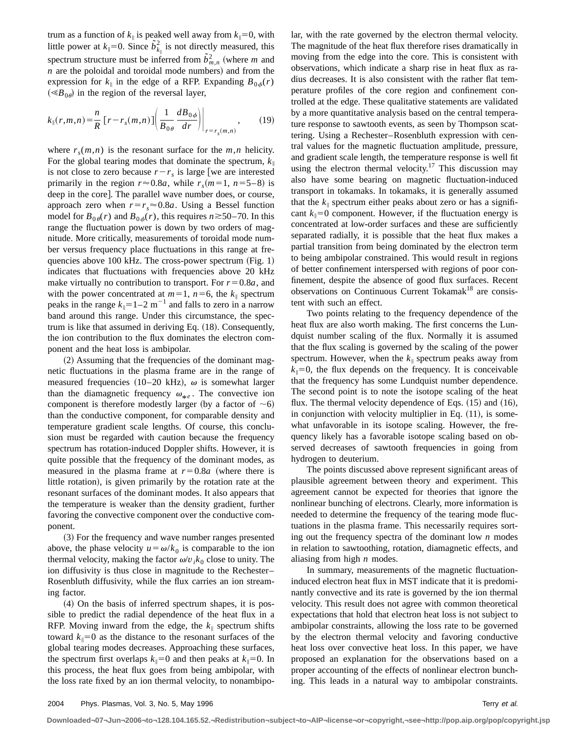trum as a function of  $k_{\parallel}$  is peaked well away from  $k_{\parallel}=0$ , with little power at  $k_{\parallel} = 0$ . Since  $\tilde{b}_{k_{\parallel}}^2$  is not directly measured, this spectrum structure must be inferred from  $\tilde{b}^2_{m,n}$  (where *m* and  $n$  are the poloidal and toroidal mode numbers) and from the expression for  $k_{\parallel}$  in the edge of a RFP. Expanding  $B_{0,\phi}(r)$  $(\ll B_{0\theta})$  in the region of the reversal layer,

$$
k_{\parallel}(r,m,n) = \frac{n}{R} \left[ r - r_s(m,n) \right] \left( \frac{1}{B_{0\theta}} \frac{dB_{0\phi}}{dr} \right) \Big|_{r = r_s(m,n)}, \qquad (19)
$$

where  $r_s(m,n)$  is the resonant surface for the  $m,n$  helicity. For the global tearing modes that dominate the spectrum,  $k_{\parallel}$ is not close to zero because  $r-r<sub>s</sub>$  is large [we are interested primarily in the region  $r \approx 0.8a$ , while  $r_s(m=1, n=5-8)$  is deep in the core. The parallel wave number does, or course, approach zero when  $r=r_s \approx 0.8a$ . Using a Bessel function model for  $B_{0\theta}(r)$  and  $B_{0\phi}(r)$ , this requires  $n \ge 50-70$ . In this range the fluctuation power is down by two orders of magnitude. More critically, measurements of toroidal mode number versus frequency place fluctuations in this range at frequencies above  $100 \text{ kHz}$ . The cross-power spectrum (Fig. 1) indicates that fluctuations with frequencies above 20 kHz make virtually no contribution to transport. For  $r=0.8a$ , and with the power concentrated at  $m=1$ ,  $n=6$ , the  $k_{\parallel}$  spectrum peaks in the range  $k_{\parallel} = 1-2$  m<sup>-1</sup> and falls to zero in a narrow band around this range. Under this circumstance, the spectrum is like that assumed in deriving Eq.  $(18)$ . Consequently, the ion contribution to the flux dominates the electron component and the heat loss is ambipolar.

 $(2)$  Assuming that the frequencies of the dominant magnetic fluctuations in the plasma frame are in the range of measured frequencies (10–20 kHz),  $\omega$  is somewhat larger than the diamagnetic frequency  $\omega_{*e}$ . The convective ion component is therefore modestly larger (by a factor of  $\sim$ 6) than the conductive component, for comparable density and temperature gradient scale lengths. Of course, this conclusion must be regarded with caution because the frequency spectrum has rotation-induced Doppler shifts. However, it is quite possible that the frequency of the dominant modes, as measured in the plasma frame at  $r=0.8a$  (where there is little rotation), is given primarily by the rotation rate at the resonant surfaces of the dominant modes. It also appears that the temperature is weaker than the density gradient, further favoring the convective component over the conductive component.

(3) For the frequency and wave number ranges presented above, the phase velocity  $u = \omega/k_0$  is comparable to the ion thermal velocity, making the factor  $\omega/v_i k_0$  close to unity. The ion diffusivity is thus close in magnitude to the Rechester– Rosenbluth diffusivity, while the flux carries an ion streaming factor.

 $(4)$  On the basis of inferred spectrum shapes, it is possible to predict the radial dependence of the heat flux in a RFP. Moving inward from the edge, the  $k_{\parallel}$  spectrum shifts toward  $k_{\parallel}=0$  as the distance to the resonant surfaces of the global tearing modes decreases. Approaching these surfaces, the spectrum first overlaps  $k_{\parallel}=0$  and then peaks at  $k_{\parallel}=0$ . In this process, the heat flux goes from being ambipolar, with the loss rate fixed by an ion thermal velocity, to nonambipolar, with the rate governed by the electron thermal velocity. The magnitude of the heat flux therefore rises dramatically in moving from the edge into the core. This is consistent with observations, which indicate a sharp rise in heat flux as radius decreases. It is also consistent with the rather flat temperature profiles of the core region and confinement controlled at the edge. These qualitative statements are validated by a more quantitative analysis based on the central temperature response to sawtooth events, as seen by Thompson scattering. Using a Rechester–Rosenbluth expression with central values for the magnetic fluctuation amplitude, pressure, and gradient scale length, the temperature response is well fit using the electron thermal velocity.<sup>17</sup> This discussion may also have some bearing on magnetic fluctuation-induced transport in tokamaks. In tokamaks, it is generally assumed that the  $k_{\parallel}$  spectrum either peaks about zero or has a significant  $k_{\parallel}=0$  component. However, if the fluctuation energy is concentrated at low-order surfaces and these are sufficiently separated radially, it is possible that the heat flux makes a partial transition from being dominated by the electron term to being ambipolar constrained. This would result in regions of better confinement interspersed with regions of poor confinement, despite the absence of good flux surfaces. Recent observations on Continuous Current Tokamak<sup>18</sup> are consistent with such an effect.

Two points relating to the frequency dependence of the heat flux are also worth making. The first concerns the Lundquist number scaling of the flux. Normally it is assumed that the flux scaling is governed by the scaling of the power spectrum. However, when the  $k_{\parallel}$  spectrum peaks away from  $k_{\parallel}=0$ , the flux depends on the frequency. It is conceivable that the frequency has some Lundquist number dependence. The second point is to note the isotope scaling of the heat flux. The thermal velocity dependence of Eqs.  $(15)$  and  $(16)$ , in conjunction with velocity multiplier in Eq.  $(11)$ , is somewhat unfavorable in its isotope scaling. However, the frequency likely has a favorable isotope scaling based on observed decreases of sawtooth frequencies in going from hydrogen to deuterium.

The points discussed above represent significant areas of plausible agreement between theory and experiment. This agreement cannot be expected for theories that ignore the nonlinear bunching of electrons. Clearly, more information is needed to determine the frequency of the tearing mode fluctuations in the plasma frame. This necessarily requires sorting out the frequency spectra of the dominant low *n* modes in relation to sawtoothing, rotation, diamagnetic effects, and aliasing from high *n* modes.

In summary, measurements of the magnetic fluctuationinduced electron heat flux in MST indicate that it is predominantly convective and its rate is governed by the ion thermal velocity. This result does not agree with common theoretical expectations that hold that electron heat loss is not subject to ambipolar constraints, allowing the loss rate to be governed by the electron thermal velocity and favoring conductive heat loss over convective heat loss. In this paper, we have proposed an explanation for the observations based on a proper accounting of the effects of nonlinear electron bunching. This leads in a natural way to ambipolar constraints.

**Downloaded¬07¬Jun¬2006¬to¬128.104.165.52.¬Redistribution¬subject¬to¬AIP¬license¬or¬copyright,¬see¬http://pop.aip.org/pop/copyright.jsp**